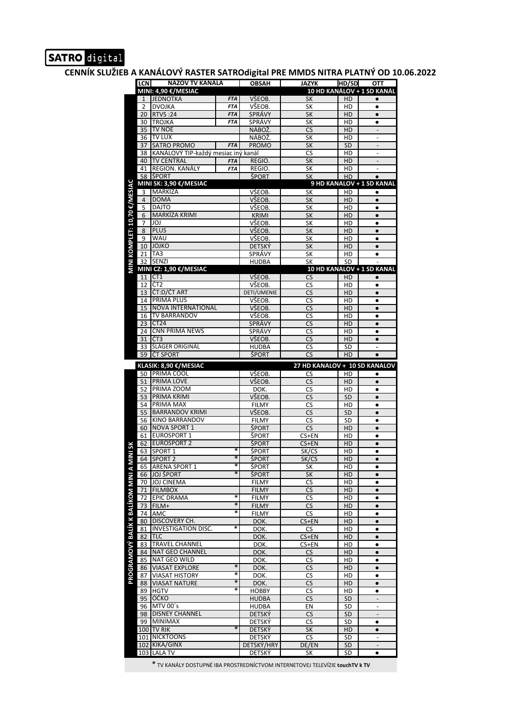## SATRO digital

**CENNÍK SLUŽIEB A KANÁLOVÝ RASTER SATROdigital PRE MMDS NITRA PLATNÝ OD 10.06.2022**

|                                          | <b>LCN</b>           | NAZOV TV KANALA                           |                          | OBSAH                         | <b>JAZYK</b>                  | HD/SD           | ОТТ                          |
|------------------------------------------|----------------------|-------------------------------------------|--------------------------|-------------------------------|-------------------------------|-----------------|------------------------------|
|                                          |                      | MINI: 4,90 €/MESIAC                       |                          |                               |                               |                 | 10 HD KANÁLOV + 1 SD KANÁL   |
|                                          | $\mathbf{1}$         | <b>JEDNOTKA</b>                           | <b>FTA</b><br><b>FTA</b> | VŠEOB.<br>VŠEOB.              | SK                            | HD              | $\bullet$                    |
|                                          | 2<br>20 <sup>1</sup> | <b>DVOJKA</b><br><b>RTVS:24</b>           | <b>FTA</b>               | SPRÁVY                        | SK<br>SK                      | HD<br>HD        | ٠<br>$\bullet$               |
|                                          | 30                   | <b>TROJKA</b>                             | <b>FTA</b>               | SPRÁVY                        | SK                            | HD              | $\bullet$                    |
|                                          | 35                   | <b>TV NOE</b>                             |                          | NÁBOŽ.                        | CS                            | HD              |                              |
|                                          | 36                   | <b>TV LUX</b>                             |                          | NÁBOŽ.                        | SK                            | HD              |                              |
|                                          | 37                   | <b>SATRO PROMO</b>                        | <b>FTA</b>               | <b>PROMO</b>                  | SK                            | <b>SD</b>       |                              |
|                                          | 38                   | KANÁLOVÝ TIP-každý mesiac iný kanál       |                          |                               | CS                            | HD              |                              |
|                                          | 40<br>41             | <b>TV CENTRAL</b><br>REGION. KANÁLY       | <b>FTA</b><br><b>FTA</b> | REGIO.<br>REGIO.              | SK                            | HD<br>HD        |                              |
|                                          |                      | 58 SPORT                                  |                          | ŠPORT                         | SK<br>SK                      | HD              | $\bullet$                    |
|                                          |                      | MINI SK: 3,90 €/MESIAC                    |                          |                               |                               |                 | 9 HD KANALOV + 1 SD KANAL    |
| MINI KOMPLET: 10,70 €/MESIAC             | 3                    | MARKÍZA                                   |                          | VŠEOB.                        | SK                            | HD              | $\bullet$                    |
|                                          | $\overline{4}$       | <b>DOMA</b>                               |                          | VŠEOB.                        | SK                            | HD              | $\bullet$                    |
|                                          | 5                    | <b>DAJTO</b>                              |                          | VŠEOB.                        | SK                            | HD              | $\bullet$                    |
|                                          | 6<br>7               | MARKÍZA KRIMI<br>JOJ                      |                          | <b>KRIMI</b><br>VŠEOB.        | SK<br>SK                      | HD<br>HD        | $\bullet$<br>$\bullet$       |
|                                          | 8                    | <b>PLUS</b>                               |                          | VŠEOB.                        | SK                            | HD              | $\bullet$                    |
|                                          | 9                    | WAU                                       |                          | VŠEOB.                        | SK                            | HD              | $\bullet$                    |
|                                          |                      | 10 JOJKO                                  |                          | <b>DETSKÝ</b>                 | SK                            | HD              | $\bullet$                    |
|                                          | 21 <sub>1</sub>      | TA <sub>3</sub>                           |                          | SPRÁVY                        | SK                            | HD              | $\bullet$                    |
|                                          | 32                   | SENZI                                     |                          | <b>HUDBA</b>                  | SK                            | SD              | 10 HD KANALOV + 1 SD KANAL   |
|                                          |                      | MINI CZ: 1,90 €/MESIAC<br>11 CT1          |                          | VŠEOB.                        | <b>CS</b>                     | HD              | $\bullet$                    |
|                                          | 12                   | ČT <sub>2</sub>                           |                          | VŠEOB.                        | CS                            | HD              | $\bullet$                    |
|                                          | 13                   | ČT:D/ČT ART                               |                          | DETI/UMENIE                   | <b>CS</b>                     | HD              | $\bullet$                    |
|                                          | 14                   | <b>PRIMA PLUS</b>                         |                          | VŠEOB.                        | CS                            | HD              | $\bullet$                    |
|                                          | 15                   | NOVA INTERNATIONAL                        |                          | VŠEOB.                        | CS                            | HD              | $\bullet$                    |
|                                          | 16                   | TV BARRANDOV                              |                          | VŠEOB.                        | CS                            | HD              | $\bullet$                    |
|                                          | 23<br>24             | ČT <sub>24</sub><br><b>CNN PRIMA NEWS</b> |                          | SPRÁVY<br>SPRÁVY              | CS                            | HD<br>HD        | $\bullet$<br>$\bullet$       |
|                                          | 31                   | ČT3                                       |                          | VŠEOB.                        | CS<br>CS                      | HD              | $\bullet$                    |
|                                          | 33                   | ŠLÁGER ORIGINÁL                           |                          | <b>HUDBA</b>                  | CS                            | SD              |                              |
|                                          | 59                   | ČT SPORT                                  |                          | ŠPORT                         | <b>CS</b>                     | HD              | $\bullet$                    |
|                                          |                      | KLASIK: 8,90 €/MESIAC                     |                          |                               | 27 HD KANALOV + 10 SD KANALOV |                 |                              |
|                                          |                      | 50 PRIMA COOL                             |                          | VŠEOB.                        | CS                            | HD              | $\bullet$                    |
|                                          | 51                   | PRIMA LOVE                                |                          | VŠEOB.                        | CS                            | HD              | $\bullet$                    |
|                                          | 52                   | PRIMA ZOOM                                |                          | DOK.                          | CS                            | HD              | $\bullet$                    |
|                                          | 54                   | 53 PRIMA KRIMI<br>PRIMA MAX               |                          | VŠEOB.<br><b>FILMY</b>        | CS<br>CS                      | SD<br>HD        | $\bullet$<br>$\bullet$       |
|                                          | 55                   | <b>BARRANDOV KRIMI</b>                    |                          | VŠEOB.                        | CS                            | SD              | $\bullet$                    |
|                                          | 56                   | <b>KINO BARRANDOV</b>                     |                          | <b>FILMY</b>                  | CS                            | SD              | $\bullet$                    |
|                                          | 60                   | <b>NOVA SPORT 1</b>                       |                          | <b>ŠPORT</b>                  | <b>CS</b>                     | HD              | $\bullet$                    |
|                                          | 61                   | <b>EUROSPORT 1</b>                        |                          | <b>ŠPORT</b>                  | CS+EN                         | HD              | $\bullet$                    |
| šK                                       | 62                   | <b>EUROSPORT 2</b>                        | *                        | ŠPORT                         | CS+EN                         | HD              | $\bullet$                    |
| <b>NIN</b>                               | 63                   | SPORT <sub>1</sub><br>64 SPORT 2          | $\ast$                   | ŠPORT<br>ŠPORT                | SK/CS<br>SK/CS                | HD<br>HD        | $\bullet$<br>$\bullet$       |
|                                          |                      | 65 ARENA SPORT 1                          | *                        | <b>SPORT</b>                  | SK                            | HD              | ٠                            |
|                                          | 66                   | <b>JOJ ŠPORT</b>                          | $\ast$                   | <b>ŠPORT</b>                  | SK                            | HD              | $\bullet$                    |
|                                          | 70                   | <b>JOJ CINEMA</b>                         |                          | <b>FILMY</b>                  | CS                            | HD              | $\bullet$                    |
|                                          | 71                   | <b>FILMBOX</b>                            | *                        | <b>FILMY</b>                  | CS                            | HD              | $\bullet$                    |
|                                          | 72                   | <b>EPIC DRAMA</b><br>73 FILM+             | $\ast$                   | <b>FILMY</b>                  | CS                            | HD<br>HD        | $\bullet$                    |
|                                          | 74                   | AMC                                       | *                        | <b>FILMY</b><br><b>FILMY</b>  | CS<br>CS                      | HD              | $\bullet$<br>$\bullet$       |
|                                          | 80                   | DISCOVERY CH.                             |                          | DOK.                          | CS+EN                         | HD              | $\bullet$                    |
|                                          | 81                   | <b>INVESTIGATION DISC.</b>                | *                        | DOK.                          | CS                            | HD              | $\bullet$                    |
|                                          | 82                   | TLC                                       |                          | DOK.                          | CS+EN                         | HD              | $\bullet$                    |
|                                          | 83                   | <b>TRAVEL CHANNEL</b>                     |                          | DOK.                          | CS+EN                         | HD              | $\bullet$                    |
|                                          | 84<br>85             | NAT GEO CHANNEL<br>NAT GEO WILD           |                          | DOK.<br>DOK.                  | <b>CS</b>                     | HD<br>HD        | $\bullet$<br>$\bullet$       |
| <b>PROGRAMOVÝ BALÍK K BALÍKOM MINI A</b> | 86                   | <b>VIASAT EXPLORE</b>                     | $\ast$                   | DOK.                          | CS<br>CS                      | HD              | $\bullet$                    |
|                                          | 87                   | <b>VIASAT HISTORY</b>                     | $\ast$                   | DOK.                          | CS                            | HD              | $\bullet$                    |
|                                          | 88                   | <b>VIASAT NATURE</b>                      | $\ast$                   | DOK.                          | CS                            | HD              | $\bullet$                    |
|                                          | 89                   | <b>HGTV</b>                               | *                        | HOBBY                         | CS                            | HD              | $\bullet$                    |
|                                          | 95                   | ÓČKO<br>MTV 00's                          |                          | <b>HUDBA</b>                  | CS                            | <b>SD</b>       |                              |
|                                          | 96<br>98             | <b>DISNEY CHANNEL</b>                     |                          | <b>HUDBA</b><br><b>DETSKÝ</b> | EN<br><b>CS</b>               | SD<br><b>SD</b> | $\qquad \qquad \blacksquare$ |
|                                          | 99                   | <b>MINIMAX</b>                            |                          | <b>DETSKÝ</b>                 | CS                            | SD              | $\bullet$                    |
|                                          |                      | 100 TV RIK                                | $\ast$                   | <b>DETSKÝ</b>                 | SK                            | HD              | $\bullet$                    |
|                                          |                      | 101 NICKTOONS                             |                          | <b>DETSKÝ</b>                 | CS                            | SD              | $\overline{\phantom{a}}$     |
|                                          |                      | 102 KIKA/GINX                             |                          | DETSKÝ/HRY                    | DE/EN                         | SD              |                              |
|                                          |                      | 103 LALA TV                               |                          | DETSKÝ                        | SK                            | SD              | $\bullet$                    |

\* TV KANÁLY DOSTUPNÉ IBA PROSTREDNÍCTVOM INTERNETOVEJ TELEVÍZIE **touchTV k TV**